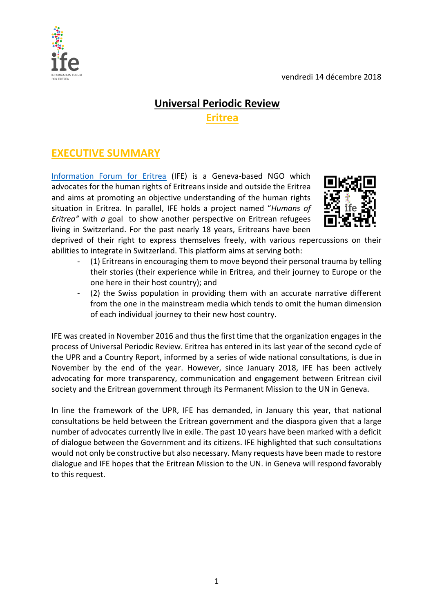vendredi 14 décembre 2018



## **Universal Periodic Review**

**Eritrea**

# **EXECUTIVE SUMMARY**

[Information Forum for Eritrea](http://www.ife-ch.org/) (IFE) is a Geneva-based NGO which advocates for the human rights of Eritreans inside and outside the Eritrea and aims at promoting an objective understanding of the human rights situation in Eritrea. In parallel, IFE holds a project named "*Humans of Eritrea"* with *a* goal to show another perspective on Eritrean refugees living in Switzerland. For the past nearly 18 years, Eritreans have been



deprived of their right to express themselves freely, with various repercussions on their abilities to integrate in Switzerland. This platform aims at serving both:

- (1) Eritreans in encouraging them to move beyond their personal trauma by telling their stories (their experience while in Eritrea, and their journey to Europe or the one here in their host country); and
- (2) the Swiss population in providing them with an accurate narrative different from the one in the mainstream media which tends to omit the human dimension of each individual journey to their new host country.

IFE was created in November 2016 and thus the first time that the organization engages in the process of Universal Periodic Review. Eritrea has entered in its last year of the second cycle of the UPR and a Country Report, informed by a series of wide national consultations, is due in November by the end of the year. However, since January 2018, IFE has been actively advocating for more transparency, communication and engagement between Eritrean civil society and the Eritrean government through its Permanent Mission to the UN in Geneva.

In line the framework of the UPR, IFE has demanded, in January this year, that national consultations be held between the Eritrean government and the diaspora given that a large number of advocates currently live in exile. The past 10 years have been marked with a deficit of dialogue between the Government and its citizens. IFE highlighted that such consultations would not only be constructive but also necessary. Many requests have been made to restore dialogue and IFE hopes that the Eritrean Mission to the UN. in Geneva will respond favorably to this request.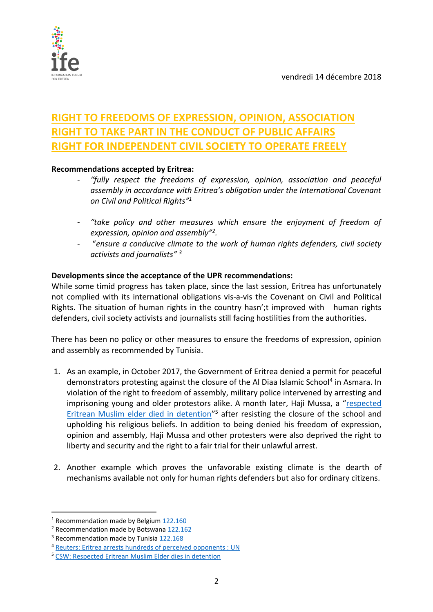

# **RIGHT TO FREEDOMS OF EXPRESSION, OPINION, ASSOCIATION RIGHT TO TAKE PART IN THE CONDUCT OF PUBLIC AFFAIRS RIGHT FOR INDEPENDENT CIVIL SOCIETY TO OPERATE FREELY**

### **Recommendations accepted by Eritrea:**

- *"fully respect the freedoms of expression, opinion, association and peaceful assembly in accordance with Eritrea's obligation under the International Covenant on Civil and Political Rights"<sup>1</sup>*
- *"take policy and other measures which ensure the enjoyment of freedom of expression, opinion and assembly"<sup>2</sup> .*
- "*ensure a conducive climate to the work of human rights defenders, civil society activists and journalists" 3*

#### **Developments since the acceptance of the UPR recommendations:**

While some timid progress has taken place, since the last session, Eritrea has unfortunately not complied with its international obligations vis-a-vis the Covenant on Civil and Political Rights. The situation of human rights in the country hasn';t improved with human rights defenders, civil society activists and journalists still facing hostilities from the authorities.

There has been no policy or other measures to ensure the freedoms of expression, opinion and assembly as recommended by Tunisia.

- 1. As an example, in October 2017, the Government of Eritrea denied a permit for peaceful demonstrators protesting against the closure of the Al Diaa Islamic School<sup>4</sup> in Asmara. In violation of the right to freedom of assembly, military police intervened by arresting and imprisoning young and older protestors alike. A month later, Haji Mussa, a "[respected](https://www.csw.org.uk/2018/03/06/press/3858/article.htm) [Eritrean Muslim elder died in detention](https://www.csw.org.uk/2018/03/06/press/3858/article.htm)"<sup>5</sup> after resisting the closure of the school and upholding his religious beliefs. In addition to being denied his freedom of expression, opinion and assembly, Haji Mussa and other protesters were also deprived the right to liberty and security and the right to a fair trial for their unlawful arrest.
- 2. Another example which proves the unfavorable existing climate is the dearth of mechanisms available not only for human rights defenders but also for ordinary citizens.

j

<sup>&</sup>lt;sup>1</sup> Recommendation made by Belgium [122.160](https://www.upr-info.org/sites/default/files/document/eritrea/session_18_-_january_2014/recommendations_and_pledges_eritrea_2014.pdf)

<sup>2</sup> Recommendation made by Botswana [122.162](https://www.upr-info.org/sites/default/files/document/eritrea/session_18_-_january_2014/recommendations_and_pledges_eritrea_2014.pdf)

<sup>3</sup> Recommendation made by Tunisia [122.168](https://www.upr-info.org/sites/default/files/document/eritrea/session_18_-_january_2014/recommendations_and_pledges_eritrea_2014.pdf)

<sup>4</sup> [Reuters: Eritrea arrests hundreds of perceived opponents : UN](https://www.reuters.com/article/us-eritrea-arrests/eritrea-arrests-hundreds-of-perceived-opponents-u-n-idUSKCN1GQ2IV)

<sup>5</sup> [CSW: Respected Eritrean Muslim Elder dies in detention](https://www.csw.org.uk/2018/03/06/press/3858/article.htm)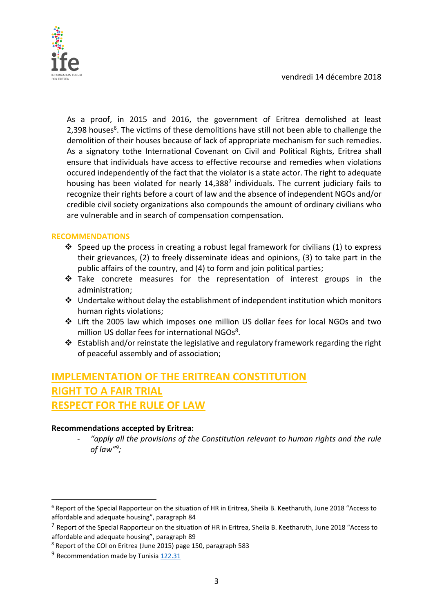

As a proof, in 2015 and 2016, the government of Eritrea demolished at least 2,398 houses<sup>6</sup>. The victims of these demolitions have still not been able to challenge the demolition of their houses because of lack of appropriate mechanism for such remedies. As a signatory tothe International Covenant on Civil and Political Rights, Eritrea shall ensure that individuals have access to effective recourse and remedies when violations occured independently of the fact that the violator is a state actor. The right to adequate housing has been violated for nearly 14,388<sup>7</sup> individuals. The current judiciary fails to recognize their rights before a court of law and the absence of independent NGOs and/or credible civil society organizations also compounds the amount of ordinary civilians who are vulnerable and in search of compensation compensation.

### **RECOMMENDATIONS**

- $\cdot$  Speed up the process in creating a robust legal framework for civilians (1) to express their grievances, (2) to freely disseminate ideas and opinions, (3) to take part in the public affairs of the country, and (4) to form and join political parties;
- \* Take concrete measures for the representation of interest groups in the administration;
- $\cdot$  Undertake without delay the establishment of independent institution which monitors human rights violations;
- Lift the 2005 law which imposes one million US dollar fees for local NGOs and two million US dollar fees for international NGOs<sup>8</sup>.
- $\cdot$  Establish and/or reinstate the legislative and regulatory framework regarding the right of peaceful assembly and of association;

## **IMPLEMENTATION OF THE ERITREAN CONSTITUTION RIGHT TO A FAIR TRIAL RESPECT FOR THE RULE OF LAW**

#### **Recommendations accepted by Eritrea:**

"apply all the provisions of the Constitution relevant to human rights and the rule *of law"<sup>9</sup> ;*

 $\overline{a}$ 

<sup>6</sup> Report of the Special Rapporteur on the situation of HR in Eritrea, Sheila B. Keetharuth, June 2018 "Access to affordable and adequate housing", paragraph 84

<sup>&</sup>lt;sup>7</sup> Report of the Special Rapporteur on the situation of HR in Eritrea, Sheila B. Keetharuth, June 2018 "Access to affordable and adequate housing", paragraph 89

<sup>8</sup> Report of the COI on Eritrea (June 2015) page 150, paragraph 583

<sup>&</sup>lt;sup>9</sup> Recommendation made by Tunisia [122.31](https://www.upr-info.org/sites/default/files/document/eritrea/session_18_-_january_2014/recommendations_and_pledges_eritrea_2014.pdf)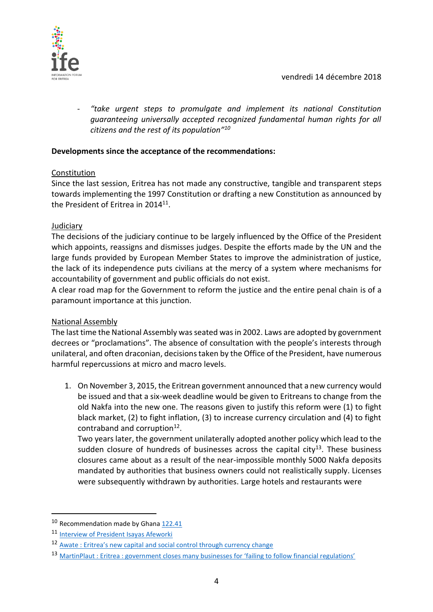

- *"take urgent steps to promulgate and implement its national Constitution guaranteeing universally accepted recognized fundamental human rights for all citizens and the rest of its population" 10*

### **Developments since the acceptance of the recommendations:**

#### Constitution

Since the last session, Eritrea has not made any constructive, tangible and transparent steps towards implementing the 1997 Constitution or drafting a new Constitution as announced by the President of Eritrea in 2014<sup>11</sup>.

#### Judiciary

The decisions of the judiciary continue to be largely influenced by the Office of the President which appoints, reassigns and dismisses judges. Despite the efforts made by the UN and the large funds provided by European Member States to improve the administration of justice, the lack of its independence puts civilians at the mercy of a system where mechanisms for accountability of government and public officials do not exist.

A clear road map for the Government to reform the justice and the entire penal chain is of a paramount importance at this junction.

#### National Assembly

The last time the National Assembly was seated was in 2002. Laws are adopted by government decrees or "proclamations". The absence of consultation with the people's interests through unilateral, and often draconian, decisions taken by the Office of the President, have numerous harmful repercussions at micro and macro levels.

1. On November 3, 2015, the Eritrean government announced that a new currency would be issued and that a six-week deadline would be given to Eritreans to change from the old Nakfa into the new one. The reasons given to justify this reform were (1) to fight black market, (2) to fight inflation, (3) to increase currency circulation and (4) to fight contraband and corruption<sup>12</sup>.

Two years later, the government unilaterally adopted another policy which lead to the sudden closure of hundreds of businesses across the capital city $13$ . These business closures came about as a result of the near-impossible monthly 5000 Nakfa deposits mandated by authorities that business owners could not realistically supply. Licenses were subsequently withdrawn by authorities. Large hotels and restaurants were

 $\overline{a}$ 

<sup>&</sup>lt;sup>10</sup> Recommendation made by Ghan[a 122.41](https://www.upr-info.org/sites/default/files/document/eritrea/session_18_-_january_2014/recommendations_and_pledges_eritrea_2014.pdf)

<sup>11</sup> [Interview of President Isayas Afeworki](https://www.youtube.com/watch?v=Pj1zSt7kQ9Q)

<sup>12</sup> Awate [: Eritrea's new capital and social control through currency change](http://awate.com/eritreas-new-capital-and-social-control-through-currency-change/)

<sup>13</sup> MartinPlaut : Eritrea [: government closes many businesses for 'failing to follow financial regulations'](https://martinplaut.wordpress.com/2017/12/14/eritrea-government-closes-many-businesses-for-failing-to-follow-financial-regulations/)